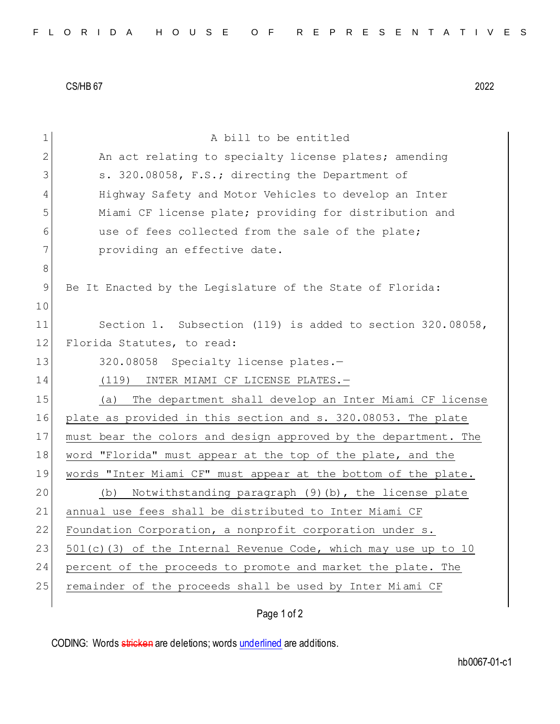CS/HB 67 2022

| 1  | A bill to be entitled                                             |
|----|-------------------------------------------------------------------|
| 2  | An act relating to specialty license plates; amending             |
| 3  | s. 320.08058, F.S.; directing the Department of                   |
| 4  | Highway Safety and Motor Vehicles to develop an Inter             |
| 5  | Miami CF license plate; providing for distribution and            |
| 6  | use of fees collected from the sale of the plate;                 |
| 7  | providing an effective date.                                      |
| 8  |                                                                   |
| 9  | Be It Enacted by the Legislature of the State of Florida:         |
| 10 |                                                                   |
| 11 | Section 1. Subsection (119) is added to section 320.08058,        |
| 12 | Florida Statutes, to read:                                        |
| 13 | 320.08058 Specialty license plates.-                              |
| 14 | INTER MIAMI CF LICENSE PLATES.-<br>(119)                          |
| 15 | The department shall develop an Inter Miami CF license<br>(a)     |
| 16 | plate as provided in this section and s. 320.08053. The plate     |
| 17 | must bear the colors and design approved by the department. The   |
| 18 | word "Florida" must appear at the top of the plate, and the       |
| 19 | words "Inter Miami CF" must appear at the bottom of the plate.    |
| 20 | Notwithstanding paragraph (9)(b), the license plate<br>(b)        |
| 21 | annual use fees shall be distributed to Inter Miami CF            |
| 22 | Foundation Corporation, a nonprofit corporation under s.          |
| 23 | $501(c)$ (3) of the Internal Revenue Code, which may use up to 10 |
| 24 | percent of the proceeds to promote and market the plate. The      |
| 25 | remainder of the proceeds shall be used by Inter Miami CF         |
|    |                                                                   |

Page 1 of 2

CODING: Words stricken are deletions; words underlined are additions.